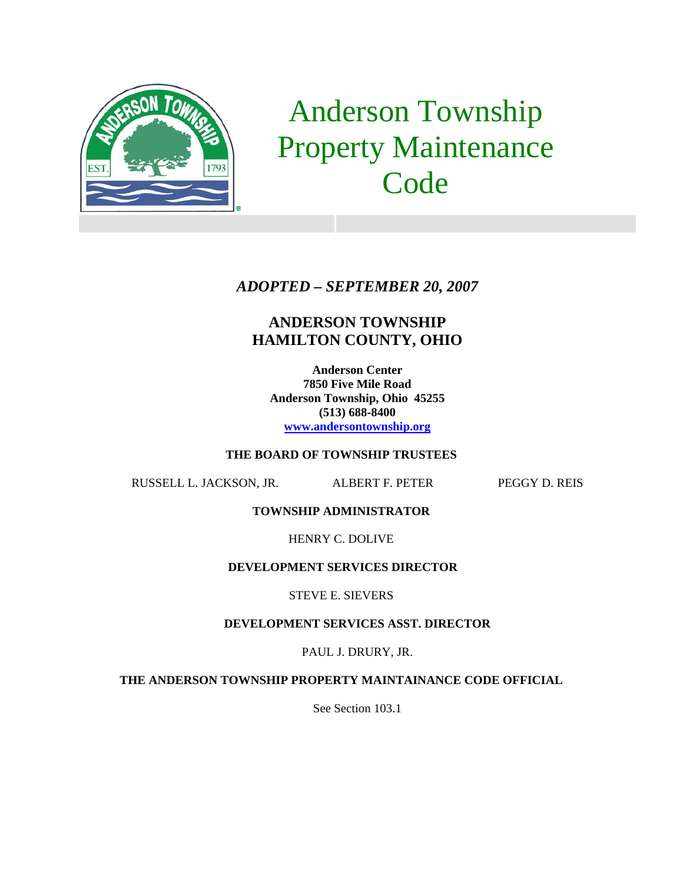

# Anderson Township Property Maintenance **Code**

## *ADOPTED – SEPTEMBER 20, 2007*

# **ANDERSON TOWNSHIP HAMILTON COUNTY, OHIO**

**Anderson Center 7850 Five Mile Road Anderson Township, Ohio 45255 (513) 688-8400 www.andersontownship.org**

#### **THE BOARD OF TOWNSHIP TRUSTEES**

RUSSELL L. JACKSON, JR. ALBERT F. PETER PEGGY D. REIS

**TOWNSHIP ADMINISTRATOR** 

HENRY C. DOLIVE

#### **DEVELOPMENT SERVICES DIRECTOR**

STEVE E. SIEVERS

#### **DEVELOPMENT SERVICES ASST. DIRECTOR**

PAUL J. DRURY, JR.

**THE ANDERSON TOWNSHIP PROPERTY MAINTAINANCE CODE OFFICIAL** 

See Section 103.1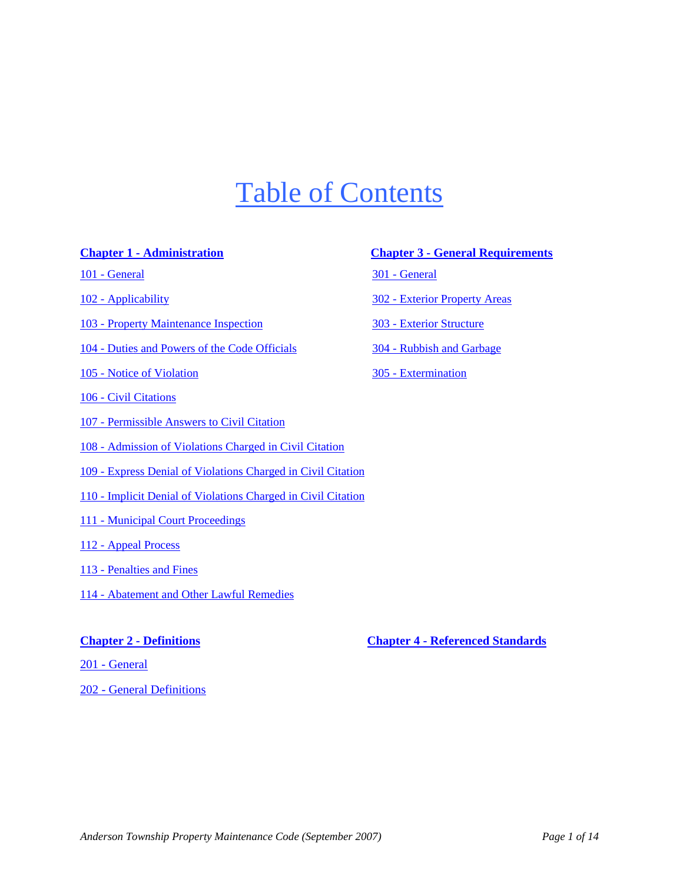# Table of Contents

- 101 General
- 102 Applicability
- 103 Property Maintenance Inspection
- 104 Duties and Powers of the Code Officials
- 105 Notice of Violation
- 106 Civil Citations
- 107 Permissible Answers to Civil Citation
- 108 Admission of Violations Charged in Civil Citation
- 109 Express Denial of Violations Charged in Civil Citation
- 110 Implicit Denial of Violations Charged in Civil Citation
- 111 Municipal Court Proceedings
- 112 Appeal Process
- 113 Penalties and Fines
- 114 Abatement and Other Lawful Remedies

201 - General

202 - General Definitions

#### **Chapter 1 - Administration Chapter 3 - General Requirements**

301 - General

302 - Exterior Property Areas

303 - Exterior Structure

304 - Rubbish and Garbage

305 - Extermination

**Chapter 2 - Definitions Chapter 4 - Referenced Standards**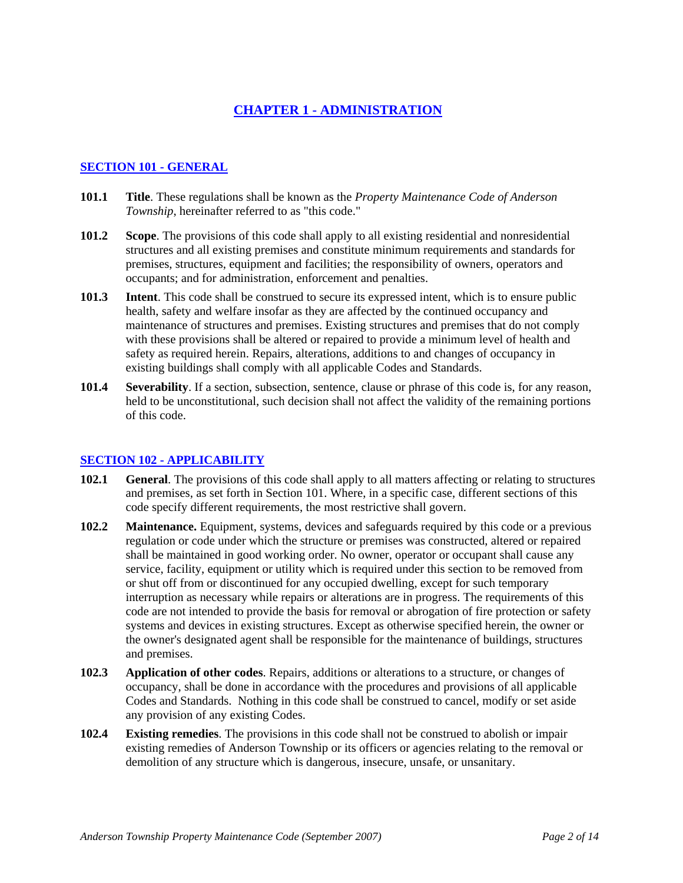## **CHAPTER 1 - ADMINISTRATION**

#### **SECTION 101 - GENERAL**

- **101.1 Title**. These regulations shall be known as the *Property Maintenance Code of Anderson Township*, hereinafter referred to as "this code."
- **101.2 Scope**. The provisions of this code shall apply to all existing residential and nonresidential structures and all existing premises and constitute minimum requirements and standards for premises, structures, equipment and facilities; the responsibility of owners, operators and occupants; and for administration, enforcement and penalties.
- **101.3 Intent**. This code shall be construed to secure its expressed intent, which is to ensure public health, safety and welfare insofar as they are affected by the continued occupancy and maintenance of structures and premises. Existing structures and premises that do not comply with these provisions shall be altered or repaired to provide a minimum level of health and safety as required herein. Repairs, alterations, additions to and changes of occupancy in existing buildings shall comply with all applicable Codes and Standards.
- **101.4 Severability**. If a section, subsection, sentence, clause or phrase of this code is, for any reason, held to be unconstitutional, such decision shall not affect the validity of the remaining portions of this code.

#### **SECTION 102 - APPLICABILITY**

- **102.1 General**. The provisions of this code shall apply to all matters affecting or relating to structures and premises, as set forth in Section 101. Where, in a specific case, different sections of this code specify different requirements, the most restrictive shall govern.
- **102.2 Maintenance.** Equipment, systems, devices and safeguards required by this code or a previous regulation or code under which the structure or premises was constructed, altered or repaired shall be maintained in good working order. No owner, operator or occupant shall cause any service, facility, equipment or utility which is required under this section to be removed from or shut off from or discontinued for any occupied dwelling, except for such temporary interruption as necessary while repairs or alterations are in progress. The requirements of this code are not intended to provide the basis for removal or abrogation of fire protection or safety systems and devices in existing structures. Except as otherwise specified herein, the owner or the owner's designated agent shall be responsible for the maintenance of buildings, structures and premises.
- **102.3 Application of other codes**. Repairs, additions or alterations to a structure, or changes of occupancy, shall be done in accordance with the procedures and provisions of all applicable Codes and Standards. Nothing in this code shall be construed to cancel, modify or set aside any provision of any existing Codes.
- **102.4 Existing remedies**. The provisions in this code shall not be construed to abolish or impair existing remedies of Anderson Township or its officers or agencies relating to the removal or demolition of any structure which is dangerous, insecure, unsafe, or unsanitary.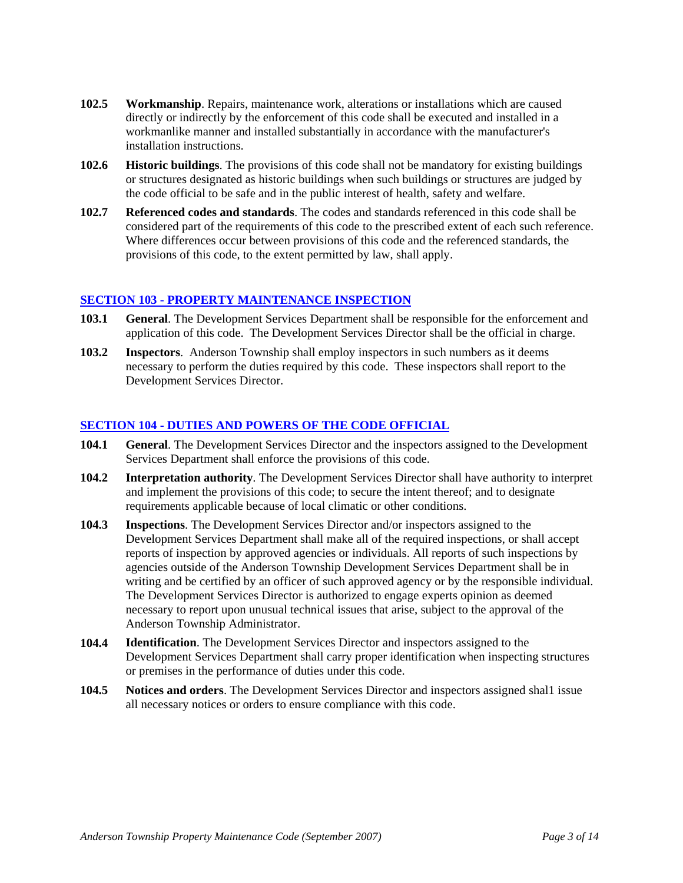- **102.5 Workmanship**. Repairs, maintenance work, alterations or installations which are caused directly or indirectly by the enforcement of this code shall be executed and installed in a workmanlike manner and installed substantially in accordance with the manufacturer's installation instructions.
- **102.6 Historic buildings**. The provisions of this code shall not be mandatory for existing buildings or structures designated as historic buildings when such buildings or structures are judged by the code official to be safe and in the public interest of health, safety and welfare.
- **102.7 Referenced codes and standards**. The codes and standards referenced in this code shall be considered part of the requirements of this code to the prescribed extent of each such reference. Where differences occur between provisions of this code and the referenced standards, the provisions of this code, to the extent permitted by law, shall apply.

#### **SECTION 103 - PROPERTY MAINTENANCE INSPECTION**

- **103.1 General**. The Development Services Department shall be responsible for the enforcement and application of this code. The Development Services Director shall be the official in charge.
- **103.2 Inspectors**. Anderson Township shall employ inspectors in such numbers as it deems necessary to perform the duties required by this code. These inspectors shall report to the Development Services Director.

#### **SECTION 104 - DUTIES AND POWERS OF THE CODE OFFICIAL**

- **104.1 General**. The Development Services Director and the inspectors assigned to the Development Services Department shall enforce the provisions of this code.
- **104.2 Interpretation authority**. The Development Services Director shall have authority to interpret and implement the provisions of this code; to secure the intent thereof; and to designate requirements applicable because of local climatic or other conditions.
- **104.3 Inspections**. The Development Services Director and/or inspectors assigned to the Development Services Department shall make all of the required inspections, or shall accept reports of inspection by approved agencies or individuals. All reports of such inspections by agencies outside of the Anderson Township Development Services Department shall be in writing and be certified by an officer of such approved agency or by the responsible individual. The Development Services Director is authorized to engage experts opinion as deemed necessary to report upon unusual technical issues that arise, subject to the approval of the Anderson Township Administrator.
- **104.4 Identification**. The Development Services Director and inspectors assigned to the Development Services Department shall carry proper identification when inspecting structures or premises in the performance of duties under this code.
- **104.5 Notices and orders**. The Development Services Director and inspectors assigned shal1 issue all necessary notices or orders to ensure compliance with this code.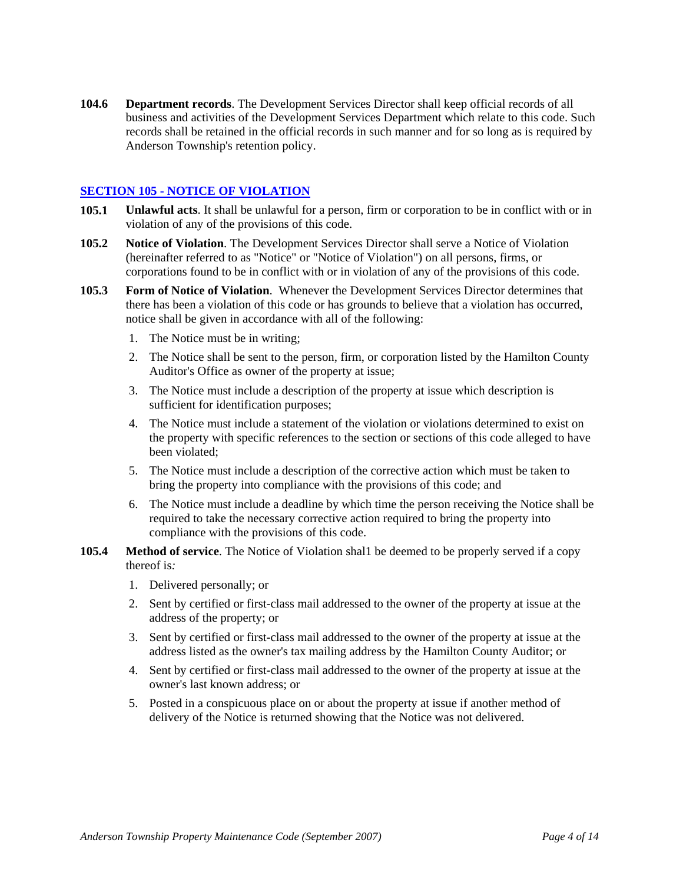**104.6 Department records**. The Development Services Director shall keep official records of all business and activities of the Development Services Department which relate to this code. Such records shall be retained in the official records in such manner and for so long as is required by Anderson Township's retention policy.

#### **SECTION 105 - NOTICE OF VIOLATION**

- **105.1 Unlawful acts**. It shall be unlawful for a person, firm or corporation to be in conflict with or in violation of any of the provisions of this code.
- **105.2 Notice of Violation**. The Development Services Director shall serve a Notice of Violation (hereinafter referred to as "Notice" or "Notice of Violation") on all persons, firms, or corporations found to be in conflict with or in violation of any of the provisions of this code.
- **105.3 Form of Notice of Violation**. Whenever the Development Services Director determines that there has been a violation of this code or has grounds to believe that a violation has occurred, notice shall be given in accordance with all of the following:
	- 1. The Notice must be in writing;
	- 2. The Notice shall be sent to the person, firm, or corporation listed by the Hamilton County Auditor's Office as owner of the property at issue;
	- 3. The Notice must include a description of the property at issue which description is sufficient for identification purposes;
	- 4. The Notice must include a statement of the violation or violations determined to exist on the property with specific references to the section or sections of this code alleged to have been violated;
	- 5. The Notice must include a description of the corrective action which must be taken to bring the property into compliance with the provisions of this code; and
	- 6. The Notice must include a deadline by which time the person receiving the Notice shall be required to take the necessary corrective action required to bring the property into compliance with the provisions of this code.
- **105.4 Method of service**. The Notice of Violation shal1 be deemed to be properly served if a copy thereof is*:*
	- 1. Delivered personally; or
	- 2. Sent by certified or first-class mail addressed to the owner of the property at issue at the address of the property; or
	- 3. Sent by certified or first-class mail addressed to the owner of the property at issue at the address listed as the owner's tax mailing address by the Hamilton County Auditor; or
	- 4. Sent by certified or first-class mail addressed to the owner of the property at issue at the owner's last known address; or
	- 5. Posted in a conspicuous place on or about the property at issue if another method of delivery of the Notice is returned showing that the Notice was not delivered.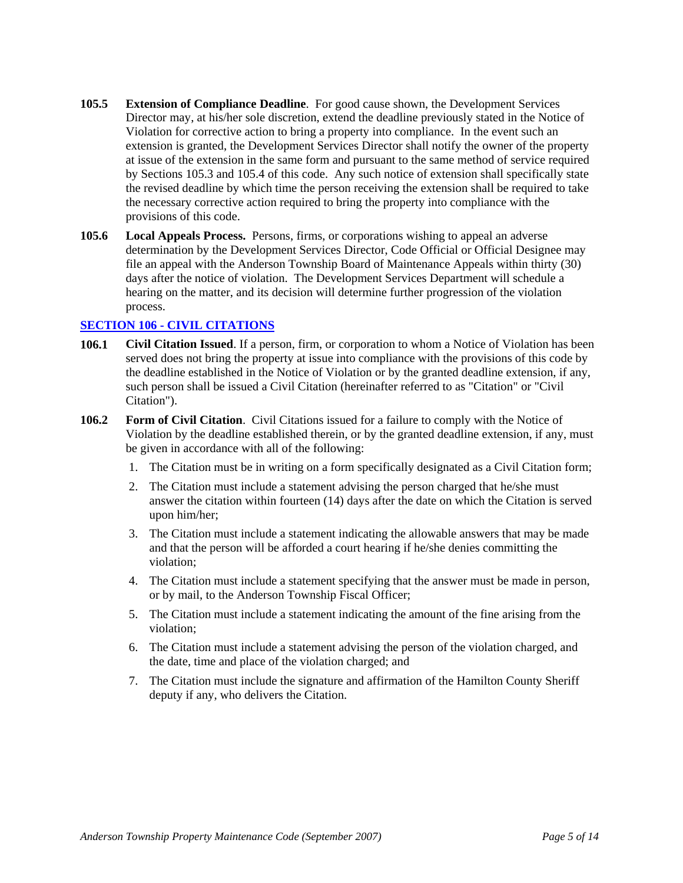- **105.5 Extension of Compliance Deadline**. For good cause shown, the Development Services Director may, at his/her sole discretion, extend the deadline previously stated in the Notice of Violation for corrective action to bring a property into compliance. In the event such an extension is granted, the Development Services Director shall notify the owner of the property at issue of the extension in the same form and pursuant to the same method of service required by Sections 105.3 and 105.4 of this code. Any such notice of extension shall specifically state the revised deadline by which time the person receiving the extension shall be required to take the necessary corrective action required to bring the property into compliance with the provisions of this code.
- **105.6 Local Appeals Process.** Persons, firms, or corporations wishing to appeal an adverse determination by the Development Services Director, Code Official or Official Designee may file an appeal with the Anderson Township Board of Maintenance Appeals within thirty (30) days after the notice of violation. The Development Services Department will schedule a hearing on the matter, and its decision will determine further progression of the violation process.

#### **SECTION 106 - CIVIL CITATIONS**

- **106.1 Civil Citation Issued**. If a person, firm, or corporation to whom a Notice of Violation has been served does not bring the property at issue into compliance with the provisions of this code by the deadline established in the Notice of Violation or by the granted deadline extension, if any, such person shall be issued a Civil Citation (hereinafter referred to as "Citation" or "Civil Citation").
- **106.2 Form of Civil Citation**. Civil Citations issued for a failure to comply with the Notice of Violation by the deadline established therein, or by the granted deadline extension, if any, must be given in accordance with all of the following:
	- 1. The Citation must be in writing on a form specifically designated as a Civil Citation form;
	- 2. The Citation must include a statement advising the person charged that he/she must answer the citation within fourteen (14) days after the date on which the Citation is served upon him/her;
	- 3. The Citation must include a statement indicating the allowable answers that may be made and that the person will be afforded a court hearing if he/she denies committing the violation;
	- 4. The Citation must include a statement specifying that the answer must be made in person, or by mail, to the Anderson Township Fiscal Officer;
	- 5. The Citation must include a statement indicating the amount of the fine arising from the violation;
	- 6. The Citation must include a statement advising the person of the violation charged, and the date, time and place of the violation charged; and
	- 7. The Citation must include the signature and affirmation of the Hamilton County Sheriff deputy if any, who delivers the Citation.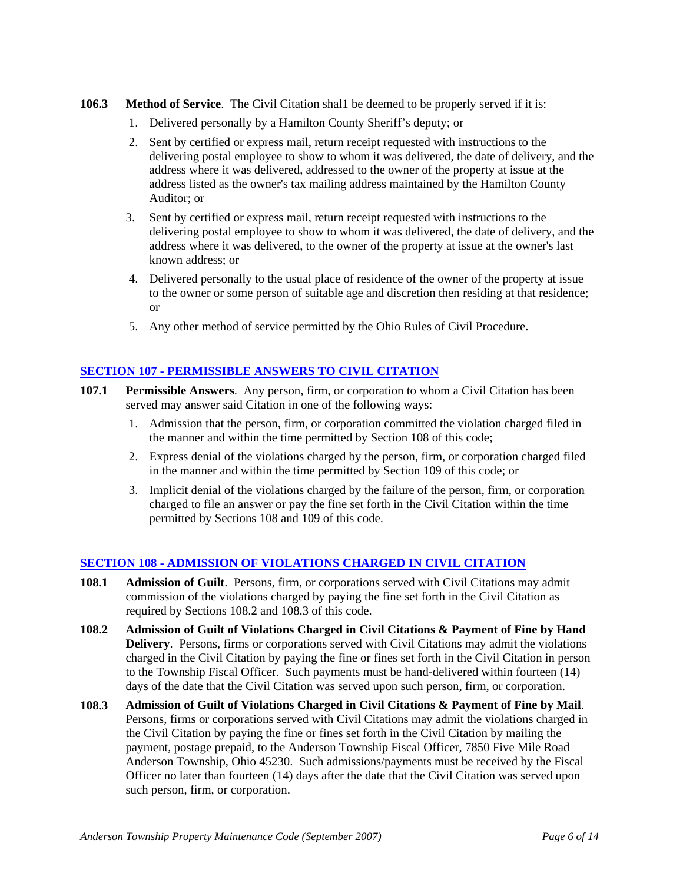- **106.3 Method of Service**. The Civil Citation shal1 be deemed to be properly served if it is:
	- 1. Delivered personally by a Hamilton County Sheriff's deputy; or
	- 2. Sent by certified or express mail, return receipt requested with instructions to the delivering postal employee to show to whom it was delivered, the date of delivery, and the address where it was delivered, addressed to the owner of the property at issue at the address listed as the owner's tax mailing address maintained by the Hamilton County Auditor; or
	- 3. Sent by certified or express mail, return receipt requested with instructions to the delivering postal employee to show to whom it was delivered, the date of delivery, and the address where it was delivered, to the owner of the property at issue at the owner's last known address; or
	- 4. Delivered personally to the usual place of residence of the owner of the property at issue to the owner or some person of suitable age and discretion then residing at that residence; or
	- 5. Any other method of service permitted by the Ohio Rules of Civil Procedure.

#### **SECTION 107 - PERMISSIBLE ANSWERS TO CIVIL CITATION**

- **107.1 Permissible Answers**. Any person, firm, or corporation to whom a Civil Citation has been served may answer said Citation in one of the following ways:
	- 1. Admission that the person, firm, or corporation committed the violation charged filed in the manner and within the time permitted by Section 108 of this code;
	- 2. Express denial of the violations charged by the person, firm, or corporation charged filed in the manner and within the time permitted by Section 109 of this code; or
	- 3. Implicit denial of the violations charged by the failure of the person, firm, or corporation charged to file an answer or pay the fine set forth in the Civil Citation within the time permitted by Sections 108 and 109 of this code.

#### **SECTION 108 - ADMISSION OF VIOLATIONS CHARGED IN CIVIL CITATION**

- **108.1 Admission of Guilt**. Persons, firm, or corporations served with Civil Citations may admit commission of the violations charged by paying the fine set forth in the Civil Citation as required by Sections 108.2 and 108.3 of this code.
- **108.2 Admission of Guilt of Violations Charged in Civil Citations & Payment of Fine by Hand Delivery**. Persons, firms or corporations served with Civil Citations may admit the violations charged in the Civil Citation by paying the fine or fines set forth in the Civil Citation in person to the Township Fiscal Officer. Such payments must be hand-delivered within fourteen (14) days of the date that the Civil Citation was served upon such person, firm, or corporation.
- **108.3 Admission of Guilt of Violations Charged in Civil Citations & Payment of Fine by Mail**. Persons, firms or corporations served with Civil Citations may admit the violations charged in the Civil Citation by paying the fine or fines set forth in the Civil Citation by mailing the payment, postage prepaid, to the Anderson Township Fiscal Officer, 7850 Five Mile Road Anderson Township, Ohio 45230. Such admissions/payments must be received by the Fiscal Officer no later than fourteen (14) days after the date that the Civil Citation was served upon such person, firm, or corporation.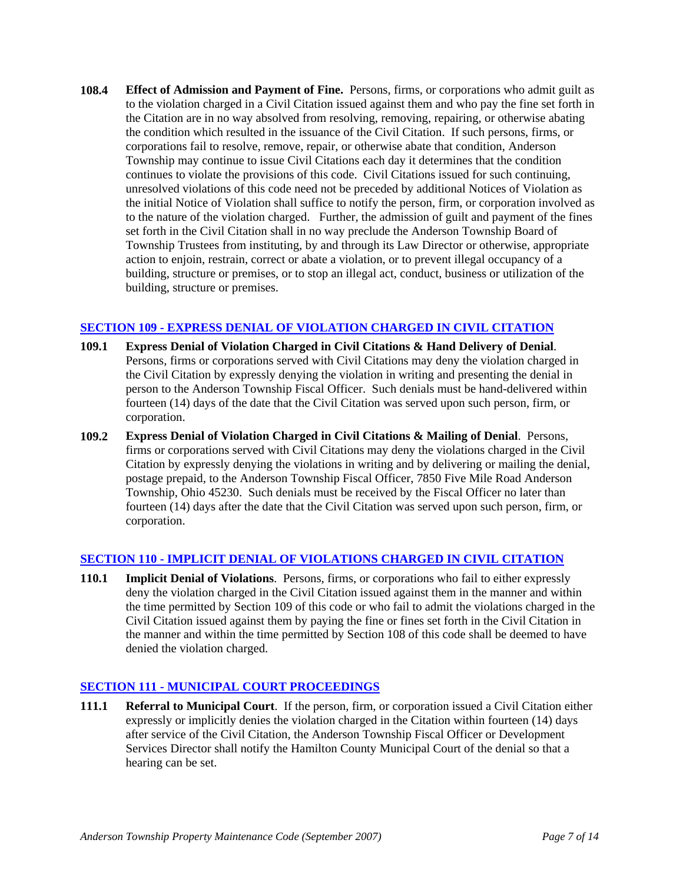**108.4 Effect of Admission and Payment of Fine.** Persons, firms, or corporations who admit guilt as to the violation charged in a Civil Citation issued against them and who pay the fine set forth in the Citation are in no way absolved from resolving, removing, repairing, or otherwise abating the condition which resulted in the issuance of the Civil Citation. If such persons, firms, or corporations fail to resolve, remove, repair, or otherwise abate that condition, Anderson Township may continue to issue Civil Citations each day it determines that the condition continues to violate the provisions of this code. Civil Citations issued for such continuing, unresolved violations of this code need not be preceded by additional Notices of Violation as the initial Notice of Violation shall suffice to notify the person, firm, or corporation involved as to the nature of the violation charged. Further, the admission of guilt and payment of the fines set forth in the Civil Citation shall in no way preclude the Anderson Township Board of Township Trustees from instituting, by and through its Law Director or otherwise, appropriate action to enjoin, restrain, correct or abate a violation, or to prevent illegal occupancy of a building, structure or premises, or to stop an illegal act, conduct, business or utilization of the building, structure or premises.

#### **SECTION 109 - EXPRESS DENIAL OF VIOLATION CHARGED IN CIVIL CITATION**

- **109.1 Express Denial of Violation Charged in Civil Citations & Hand Delivery of Denial**. Persons, firms or corporations served with Civil Citations may deny the violation charged in the Civil Citation by expressly denying the violation in writing and presenting the denial in person to the Anderson Township Fiscal Officer. Such denials must be hand-delivered within fourteen (14) days of the date that the Civil Citation was served upon such person, firm, or corporation.
- **109.2 Express Denial of Violation Charged in Civil Citations & Mailing of Denial**. Persons, firms or corporations served with Civil Citations may deny the violations charged in the Civil Citation by expressly denying the violations in writing and by delivering or mailing the denial, postage prepaid, to the Anderson Township Fiscal Officer, 7850 Five Mile Road Anderson Township, Ohio 45230. Such denials must be received by the Fiscal Officer no later than fourteen (14) days after the date that the Civil Citation was served upon such person, firm, or corporation.

#### **SECTION 110 - IMPLICIT DENIAL OF VIOLATIONS CHARGED IN CIVIL CITATION**

**110.1 Implicit Denial of Violations**. Persons, firms, or corporations who fail to either expressly deny the violation charged in the Civil Citation issued against them in the manner and within the time permitted by Section 109 of this code or who fail to admit the violations charged in the Civil Citation issued against them by paying the fine or fines set forth in the Civil Citation in the manner and within the time permitted by Section 108 of this code shall be deemed to have denied the violation charged.

#### **SECTION 111 - MUNICIPAL COURT PROCEEDINGS**

**111.1 Referral to Municipal Court**. If the person, firm, or corporation issued a Civil Citation either expressly or implicitly denies the violation charged in the Citation within fourteen (14) days after service of the Civil Citation, the Anderson Township Fiscal Officer or Development Services Director shall notify the Hamilton County Municipal Court of the denial so that a hearing can be set.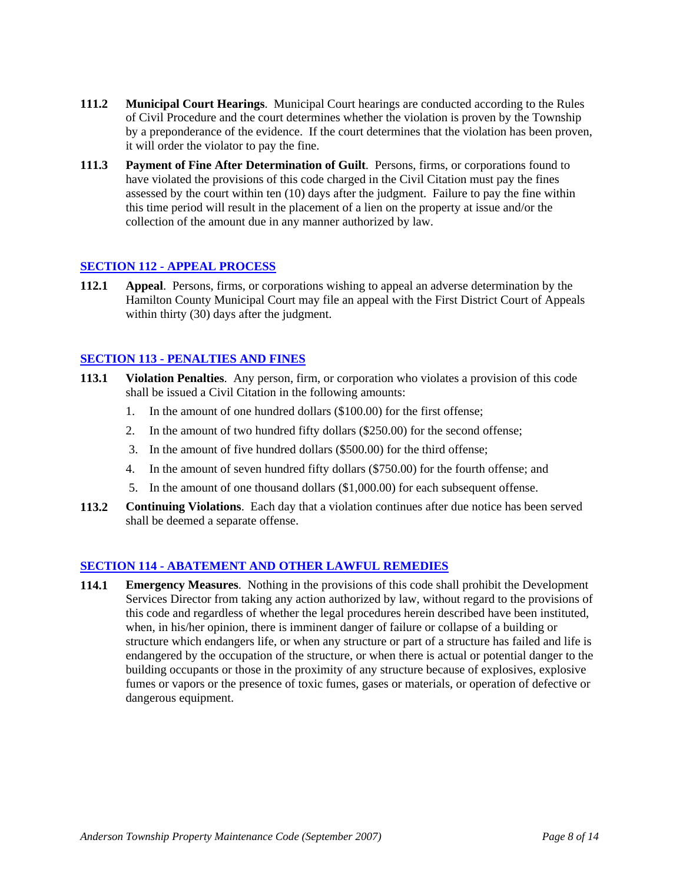- **111.2 Municipal Court Hearings**. Municipal Court hearings are conducted according to the Rules of Civil Procedure and the court determines whether the violation is proven by the Township by a preponderance of the evidence. If the court determines that the violation has been proven, it will order the violator to pay the fine.
- **111.3 Payment of Fine After Determination of Guilt**. Persons, firms, or corporations found to have violated the provisions of this code charged in the Civil Citation must pay the fines assessed by the court within ten (10) days after the judgment. Failure to pay the fine within this time period will result in the placement of a lien on the property at issue and/or the collection of the amount due in any manner authorized by law.

#### **SECTION 112 - APPEAL PROCESS**

**112.1 Appeal**. Persons, firms, or corporations wishing to appeal an adverse determination by the Hamilton County Municipal Court may file an appeal with the First District Court of Appeals within thirty (30) days after the judgment.

#### **SECTION 113 - PENALTIES AND FINES**

- **113.1 Violation Penalties**. Any person, firm, or corporation who violates a provision of this code shall be issued a Civil Citation in the following amounts:
	- 1. In the amount of one hundred dollars (\$100.00) for the first offense;
	- 2. In the amount of two hundred fifty dollars (\$250.00) for the second offense;
	- 3. In the amount of five hundred dollars (\$500.00) for the third offense;
	- 4. In the amount of seven hundred fifty dollars (\$750.00) for the fourth offense; and
	- 5. In the amount of one thousand dollars (\$1,000.00) for each subsequent offense.
- **113.2 Continuing Violations**. Each day that a violation continues after due notice has been served shall be deemed a separate offense.

#### **SECTION 114 - ABATEMENT AND OTHER LAWFUL REMEDIES**

**114.1 Emergency Measures**. Nothing in the provisions of this code shall prohibit the Development Services Director from taking any action authorized by law, without regard to the provisions of this code and regardless of whether the legal procedures herein described have been instituted, when, in his/her opinion, there is imminent danger of failure or collapse of a building or structure which endangers life, or when any structure or part of a structure has failed and life is endangered by the occupation of the structure, or when there is actual or potential danger to the building occupants or those in the proximity of any structure because of explosives, explosive fumes or vapors or the presence of toxic fumes, gases or materials, or operation of defective or dangerous equipment.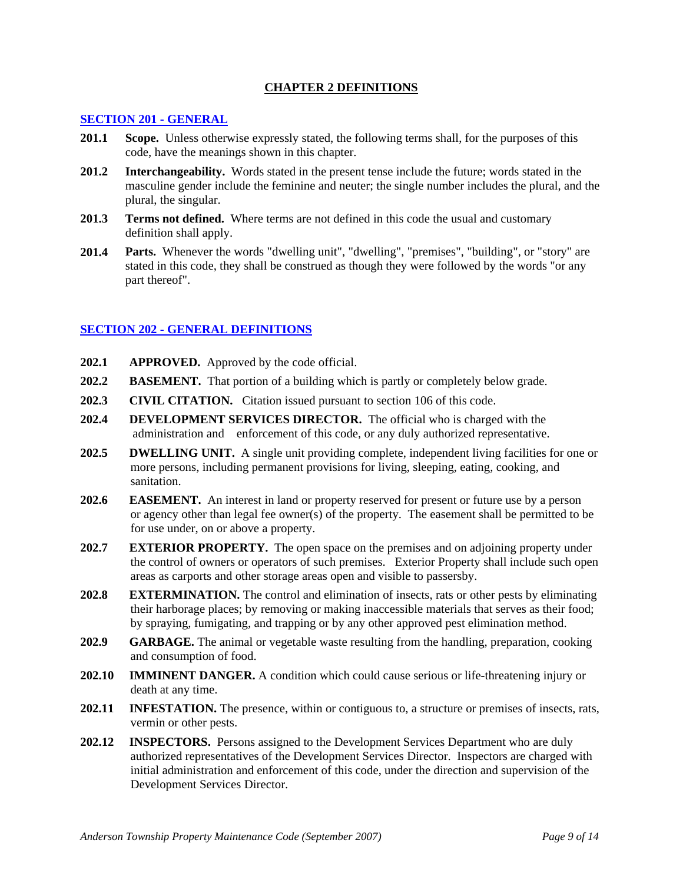#### **CHAPTER 2 DEFINITIONS**

#### **SECTION 201 - GENERAL**

- **201.1 Scope.** Unless otherwise expressly stated, the following terms shall, for the purposes of this code, have the meanings shown in this chapter.
- **201.2 Interchangeability.** Words stated in the present tense include the future; words stated in the masculine gender include the feminine and neuter; the single number includes the plural, and the plural, the singular.
- **201.3 Terms not defined.** Where terms are not defined in this code the usual and customary definition shall apply.
- **201.4 Parts.** Whenever the words "dwelling unit", "dwelling", "premises", "building", or "story" are stated in this code, they shall be construed as though they were followed by the words "or any part thereof".

#### **SECTION 202 - GENERAL DEFINITIONS**

- **202.1 APPROVED.** Approved by the code official.
- **202.2 BASEMENT.** That portion of a building which is partly or completely below grade.
- **202.3 CIVIL CITATION.** Citation issued pursuant to section 106 of this code.
- **202.4 DEVELOPMENT SERVICES DIRECTOR.** The official who is charged with the administration and enforcement of this code, or any duly authorized representative.
- **202.5 DWELLING UNIT.** A single unit providing complete, independent living facilities for one or more persons, including permanent provisions for living, sleeping, eating, cooking, and sanitation.
- **202.6 EASEMENT.** An interest in land or property reserved for present or future use by a person or agency other than legal fee owner(s) of the property. The easement shall be permitted to be for use under, on or above a property.
- **202.7 EXTERIOR PROPERTY.** The open space on the premises and on adjoining property under the control of owners or operators of such premises. Exterior Property shall include such open areas as carports and other storage areas open and visible to passersby.
- **202.8 EXTERMINATION.** The control and elimination of insects, rats or other pests by eliminating their harborage places; by removing or making inaccessible materials that serves as their food; by spraying, fumigating, and trapping or by any other approved pest elimination method.
- **202.9 GARBAGE.** The animal or vegetable waste resulting from the handling, preparation, cooking and consumption of food.
- **202.10 IMMINENT DANGER.** A condition which could cause serious or life-threatening injury or death at any time.
- **202.11 INFESTATION.** The presence, within or contiguous to, a structure or premises of insects, rats, vermin or other pests.
- **202.12 INSPECTORS.** Persons assigned to the Development Services Department who are duly authorized representatives of the Development Services Director. Inspectors are charged with initial administration and enforcement of this code, under the direction and supervision of the Development Services Director.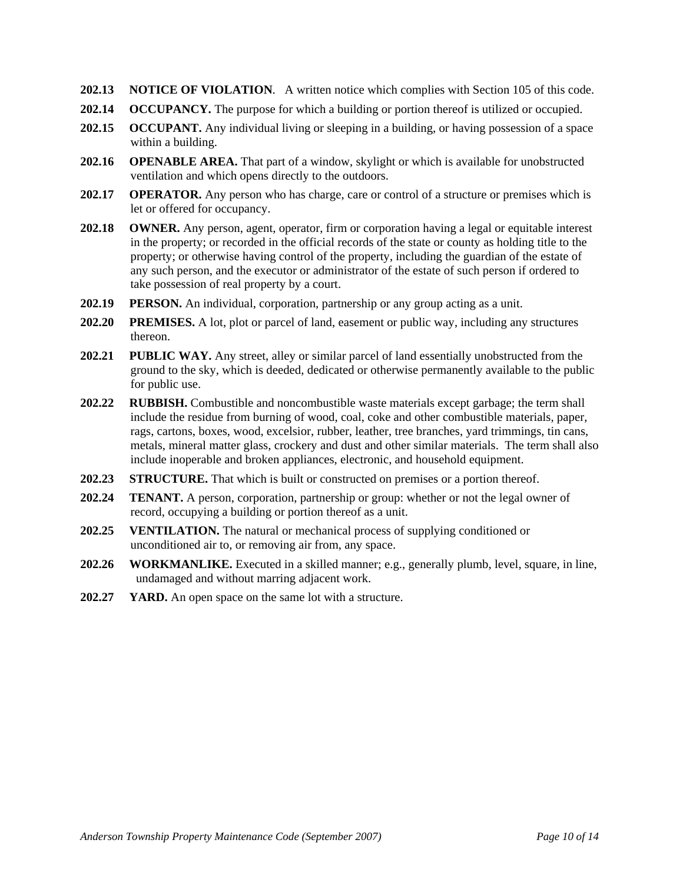- **202.13 NOTICE OF VIOLATION**. A written notice which complies with Section 105 of this code.
- **202.14 OCCUPANCY.** The purpose for which a building or portion thereof is utilized or occupied.
- **202.15 OCCUPANT.** Any individual living or sleeping in a building, or having possession of a space within a building.
- **202.16 OPENABLE AREA.** That part of a window, skylight or which is available for unobstructed ventilation and which opens directly to the outdoors.
- **202.17 OPERATOR.** Any person who has charge, care or control of a structure or premises which is let or offered for occupancy.
- **202.18 OWNER.** Any person, agent, operator, firm or corporation having a legal or equitable interest in the property; or recorded in the official records of the state or county as holding title to the property; or otherwise having control of the property, including the guardian of the estate of any such person, and the executor or administrator of the estate of such person if ordered to take possession of real property by a court.
- **202.19 PERSON.** An individual, corporation, partnership or any group acting as a unit.
- **202.20 PREMISES.** A lot, plot or parcel of land, easement or public way, including any structures thereon.
- **202.21 PUBLIC WAY.** Any street, alley or similar parcel of land essentially unobstructed from the ground to the sky, which is deeded, dedicated or otherwise permanently available to the public for public use.
- **202.22 RUBBISH.** Combustible and noncombustible waste materials except garbage; the term shall include the residue from burning of wood, coal, coke and other combustible materials, paper, rags, cartons, boxes, wood, excelsior, rubber, leather, tree branches, yard trimmings, tin cans, metals, mineral matter glass, crockery and dust and other similar materials. The term shall also include inoperable and broken appliances, electronic, and household equipment.
- **202.23 STRUCTURE.** That which is built or constructed on premises or a portion thereof.
- **202.24 TENANT.** A person, corporation, partnership or group: whether or not the legal owner of record, occupying a building or portion thereof as a unit.
- **202.25 VENTILATION.** The natural or mechanical process of supplying conditioned or unconditioned air to, or removing air from, any space.
- **202.26 WORKMANLIKE.** Executed in a skilled manner; e.g., generally plumb, level, square, in line, undamaged and without marring adjacent work.
- **202.27 YARD.** An open space on the same lot with a structure.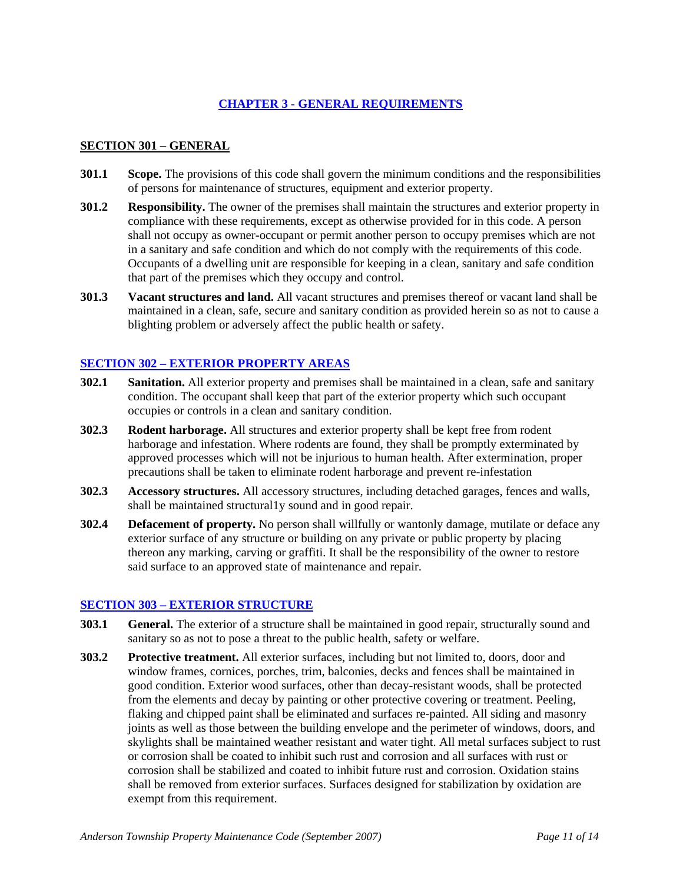### **CHAPTER 3 - GENERAL REQUIREMENTS**

#### **SECTION 301 – GENERAL**

- **301.1 Scope.** The provisions of this code shall govern the minimum conditions and the responsibilities of persons for maintenance of structures, equipment and exterior property.
- **301.2 Responsibility.** The owner of the premises shall maintain the structures and exterior property in compliance with these requirements, except as otherwise provided for in this code. A person shall not occupy as owner-occupant or permit another person to occupy premises which are not in a sanitary and safe condition and which do not comply with the requirements of this code. Occupants of a dwelling unit are responsible for keeping in a clean, sanitary and safe condition that part of the premises which they occupy and control.
- **301.3 Vacant structures and land.** All vacant structures and premises thereof or vacant land shall be maintained in a clean, safe, secure and sanitary condition as provided herein so as not to cause a blighting problem or adversely affect the public health or safety.

#### **SECTION 302 – EXTERIOR PROPERTY AREAS**

- **302.1 Sanitation.** All exterior property and premises shall be maintained in a clean, safe and sanitary condition. The occupant shall keep that part of the exterior property which such occupant occupies or controls in a clean and sanitary condition.
- **302.3 Rodent harborage.** All structures and exterior property shall be kept free from rodent harborage and infestation. Where rodents are found, they shall be promptly exterminated by approved processes which will not be injurious to human health. After extermination, proper precautions shall be taken to eliminate rodent harborage and prevent re-infestation
- **302.3 Accessory structures.** All accessory structures, including detached garages, fences and walls, shall be maintained structural1y sound and in good repair.
- **302.4 Defacement of property.** No person shall willfully or wantonly damage, mutilate or deface any exterior surface of any structure or building on any private or public property by placing thereon any marking, carving or graffiti. It shall be the responsibility of the owner to restore said surface to an approved state of maintenance and repair.

#### **SECTION 303 – EXTERIOR STRUCTURE**

- **303.1 General.** The exterior of a structure shall be maintained in good repair, structurally sound and sanitary so as not to pose a threat to the public health, safety or welfare.
- **303.2 Protective treatment.** All exterior surfaces, including but not limited to, doors, door and window frames, cornices, porches, trim, balconies, decks and fences shall be maintained in good condition. Exterior wood surfaces, other than decay-resistant woods, shall be protected from the elements and decay by painting or other protective covering or treatment. Peeling, flaking and chipped paint shall be eliminated and surfaces re-painted. All siding and masonry joints as well as those between the building envelope and the perimeter of windows, doors, and skylights shall be maintained weather resistant and water tight. All metal surfaces subject to rust or corrosion shall be coated to inhibit such rust and corrosion and all surfaces with rust or corrosion shall be stabilized and coated to inhibit future rust and corrosion. Oxidation stains shall be removed from exterior surfaces. Surfaces designed for stabilization by oxidation are exempt from this requirement.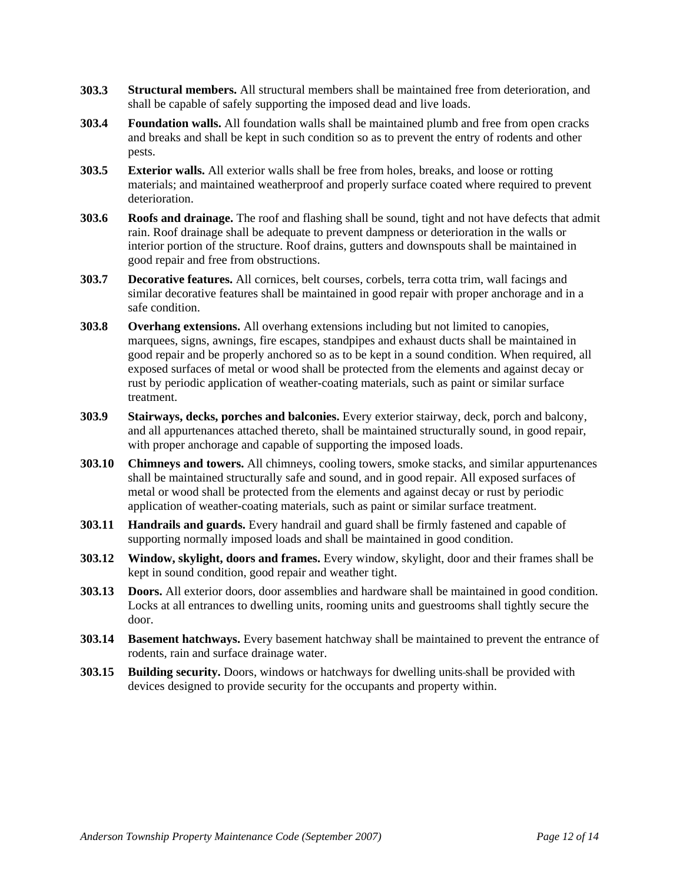- **303.3 Structural members.** All structural members shall be maintained free from deterioration, and shall be capable of safely supporting the imposed dead and live loads.
- **303.4 Foundation walls.** All foundation walls shall be maintained plumb and free from open cracks and breaks and shall be kept in such condition so as to prevent the entry of rodents and other pests.
- **303.5 Exterior walls.** All exterior walls shall be free from holes, breaks, and loose or rotting materials; and maintained weatherproof and properly surface coated where required to prevent deterioration.
- **303.6 Roofs and drainage.** The roof and flashing shall be sound, tight and not have defects that admit rain. Roof drainage shall be adequate to prevent dampness or deterioration in the walls or interior portion of the structure. Roof drains, gutters and downspouts shall be maintained in good repair and free from obstructions.
- **303.7 Decorative features.** All cornices, belt courses, corbels, terra cotta trim, wall facings and similar decorative features shall be maintained in good repair with proper anchorage and in a safe condition.
- **303.8 Overhang extensions.** All overhang extensions including but not limited to canopies, marquees, signs, awnings, fire escapes, standpipes and exhaust ducts shall be maintained in good repair and be properly anchored so as to be kept in a sound condition. When required, all exposed surfaces of metal or wood shall be protected from the elements and against decay or rust by periodic application of weather-coating materials, such as paint or similar surface treatment.
- **303.9 Stairways, decks, porches and balconies.** Every exterior stairway, deck, porch and balcony, and all appurtenances attached thereto, shall be maintained structurally sound, in good repair, with proper anchorage and capable of supporting the imposed loads.
- **303.10 Chimneys and towers.** All chimneys, cooling towers, smoke stacks, and similar appurtenances shall be maintained structurally safe and sound, and in good repair. All exposed surfaces of metal or wood shall be protected from the elements and against decay or rust by periodic application of weather-coating materials, such as paint or similar surface treatment.
- **303.11 Handrails and guards.** Every handrail and guard shall be firmly fastened and capable of supporting normally imposed loads and shall be maintained in good condition.
- **303.12 Window, skylight, doors and frames.** Every window, skylight, door and their frames shall be kept in sound condition, good repair and weather tight.
- **303.13 Doors.** All exterior doors, door assemblies and hardware shall be maintained in good condition. Locks at all entrances to dwelling units, rooming units and guestrooms shall tightly secure the door.
- **303.14 Basement hatchways.** Every basement hatchway shall be maintained to prevent the entrance of rodents, rain and surface drainage water.
- **303.15 Building security.** Doors, windows or hatchways for dwelling units shall be provided with devices designed to provide security for the occupants and property within.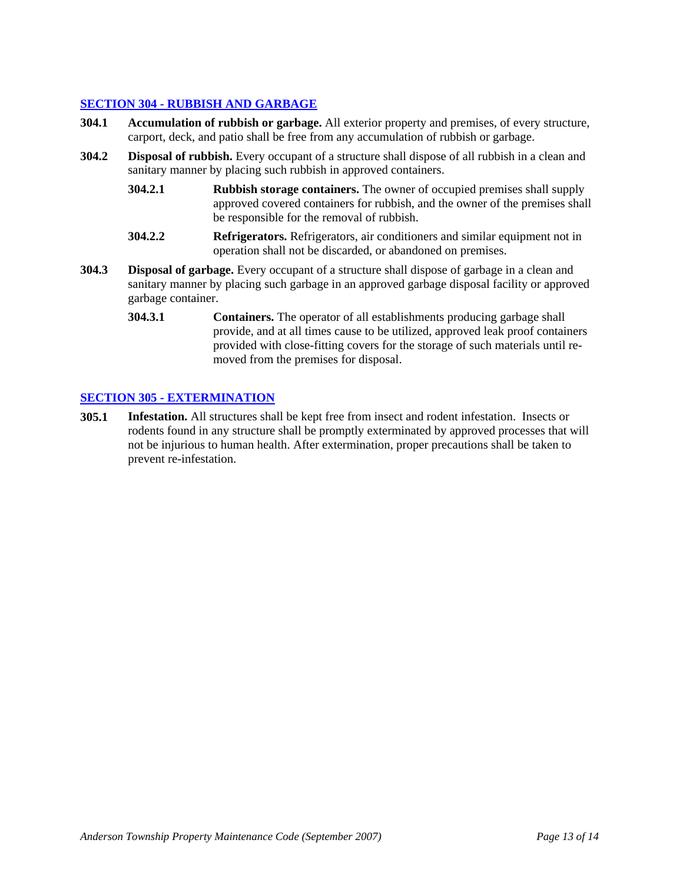#### **SECTION 304 - RUBBISH AND GARBAGE**

- **304.1 Accumulation of rubbish or garbage.** All exterior property and premises, of every structure, carport, deck, and patio shall be free from any accumulation of rubbish or garbage.
- **304.2 Disposal of rubbish.** Every occupant of a structure shall dispose of all rubbish in a clean and sanitary manner by placing such rubbish in approved containers.
	- **304.2.1 Rubbish storage containers.** The owner of occupied premises shall supply approved covered containers for rubbish, and the owner of the premises shall be responsible for the removal of rubbish.
	- **304.2.2 Refrigerators.** Refrigerators, air conditioners and similar equipment not in operation shall not be discarded, or abandoned on premises.
- **304.3 Disposal of garbage.** Every occupant of a structure shall dispose of garbage in a clean and sanitary manner by placing such garbage in an approved garbage disposal facility or approved garbage container.
	- **304.3.1 Containers.** The operator of all establishments producing garbage shall provide, and at all times cause to be utilized, approved leak proof containers provided with close-fitting covers for the storage of such materials until removed from the premises for disposal.

#### **SECTION 305 - EXTERMINATION**

**305.1 Infestation.** All structures shall be kept free from insect and rodent infestation. Insects or rodents found in any structure shall be promptly exterminated by approved processes that will not be injurious to human health. After extermination, proper precautions shall be taken to prevent re-infestation.